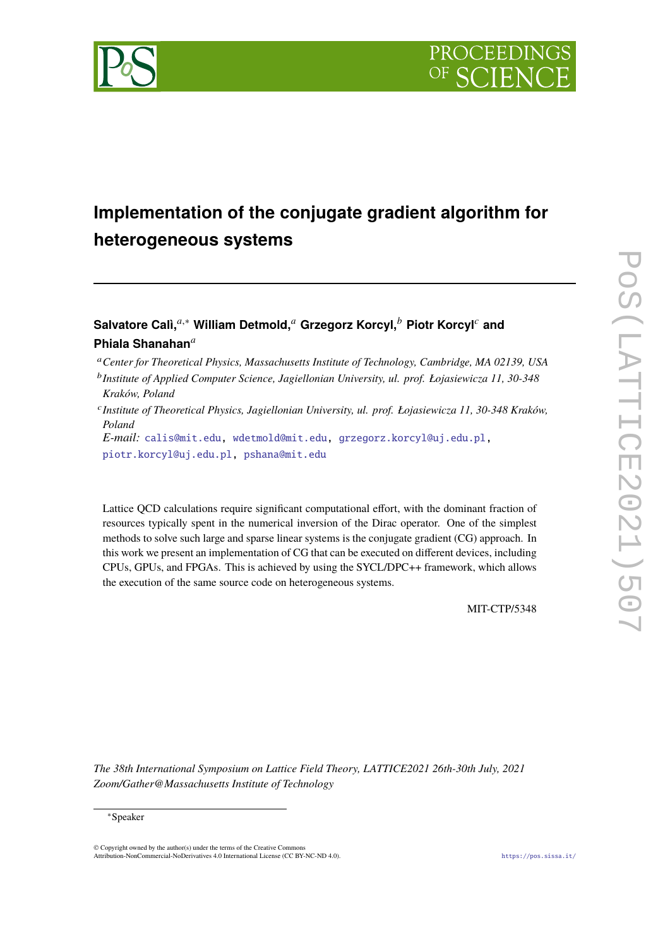

# **Implementation of the conjugate gradient algorithm for heterogeneous systems**

# **Salvatore Calì,**𝑎,<sup>∗</sup> **William Detmold,**<sup>𝑎</sup> **Grzegorz Korcyl,**<sup>𝑏</sup> **Piotr Korcyl**<sup>𝑐</sup> **and** Phiala Shanahan<sup>a</sup>

<sup>a</sup> Center for Theoretical Physics, Massachusetts Institute of Technology, Cambridge, MA 02139, USA

𝑐 *Institute of Theoretical Physics, Jagiellonian University, ul. prof. Łojasiewicza 11, 30-348 Kraków, Poland*

*E-mail:* [calis@mit.edu,](mailto:calis@mit.edu) [wdetmold@mit.edu,](mailto:wdetmold@mit.edu) [grzegorz.korcyl@uj.edu.pl,](mailto:grzegorz.korcyl@uj.edu.pl) [piotr.korcyl@uj.edu.pl,](mailto:piotr.korcyl@uj.edu.pl) [pshana@mit.edu](mailto:pshana@mit.edu)

Lattice QCD calculations require significant computational effort, with the dominant fraction of resources typically spent in the numerical inversion of the Dirac operator. One of the simplest methods to solve such large and sparse linear systems is the conjugate gradient (CG) approach. In this work we present an implementation of CG that can be executed on different devices, including CPUs, GPUs, and FPGAs. This is achieved by using the SYCL/DPC++ framework, which allows the execution of the same source code on heterogeneous systems.

MIT-CTP/5348

*The 38th International Symposium on Lattice Field Theory, LATTICE2021 26th-30th July, 2021 Zoom/Gather@Massachusetts Institute of Technology*

© Copyright owned by the author(s) under the terms of the Creative Commons Attribution-NonCommercial-NoDerivatives 4.0 International License (CC BY-NC-ND 4.0). <https://pos.sissa.it/>

<sup>&</sup>lt;sup>b</sup> Institute of Applied Computer Science, Jagiellonian University, ul. prof. Łojasiewicza 11, 30-348 *Kraków, Poland*

<sup>∗</sup>Speaker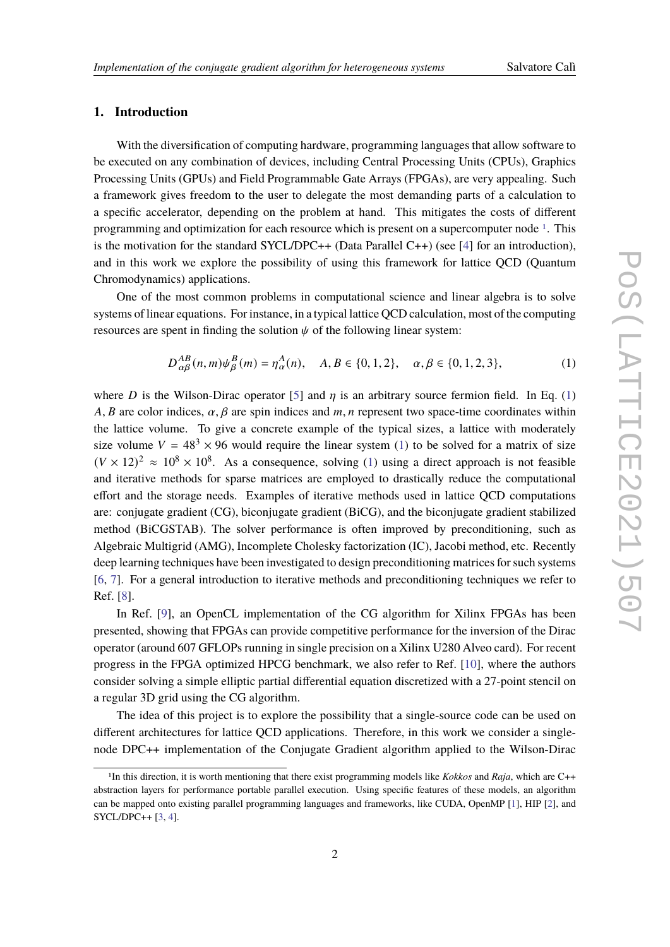# **1. Introduction**

With the diversification of computing hardware, programming languages that allow software to be executed on any combination of devices, including Central Processing Units (CPUs), Graphics Processing Units (GPUs) and Field Programmable Gate Arrays (FPGAs), are very appealing. Such a framework gives freedom to the user to delegate the most demanding parts of a calculation to a specific accelerator, depending on the problem at hand. This mitigates the costs of different programming and optimization for each resource which is present on a supercomputer node  $1$ . This is the motivation for the standard SYCL/DPC++ (Data Parallel C++) (see [\[4\]](#page-6-0) for an introduction), and in this work we explore the possibility of using this framework for lattice QCD (Quantum Chromodynamics) applications.

One of the most common problems in computational science and linear algebra is to solve systems of linear equations. For instance, in a typical lattice QCD calculation, most of the computing resources are spent in finding the solution  $\psi$  of the following linear system:

<span id="page-1-1"></span>
$$
D_{\alpha\beta}^{AB}(n,m)\psi_{\beta}^{B}(m) = \eta_{\alpha}^{A}(n), \quad A, B \in \{0, 1, 2\}, \quad \alpha, \beta \in \{0, 1, 2, 3\},\tag{1}
$$

where D is the Wilson-Dirac operator [\[5\]](#page-6-1) and  $\eta$  is an arbitrary source fermion field. In Eq. [\(1\)](#page-1-1) A, B are color indices,  $\alpha$ ,  $\beta$  are spin indices and  $m$ , n represent two space-time coordinates within the lattice volume. To give a concrete example of the typical sizes, a lattice with moderately size volume  $V = 48<sup>3</sup> \times 96$  would require the linear system [\(1\)](#page-1-1) to be solved for a matrix of size  $(V \times 12)^2 \approx 10^8 \times 10^8$ . As a consequence, solving [\(1\)](#page-1-1) using a direct approach is not feasible and iterative methods for sparse matrices are employed to drastically reduce the computational effort and the storage needs. Examples of iterative methods used in lattice QCD computations are: conjugate gradient (CG), biconjugate gradient (BiCG), and the biconjugate gradient stabilized method (BiCGSTAB). The solver performance is often improved by preconditioning, such as Algebraic Multigrid (AMG), Incomplete Cholesky factorization (IC), Jacobi method, etc. Recently deep learning techniques have been investigated to design preconditioning matrices for such systems [\[6,](#page-6-2) [7\]](#page-6-3). For a general introduction to iterative methods and preconditioning techniques we refer to Ref. [\[8\]](#page-6-4).

In Ref. [\[9\]](#page-6-5), an OpenCL implementation of the CG algorithm for Xilinx FPGAs has been presented, showing that FPGAs can provide competitive performance for the inversion of the Dirac operator (around 607 GFLOPs running in single precision on a Xilinx U280 Alveo card). For recent progress in the FPGA optimized HPCG benchmark, we also refer to Ref. [\[10\]](#page-6-6), where the authors consider solving a simple elliptic partial differential equation discretized with a 27-point stencil on a regular 3D grid using the CG algorithm.

The idea of this project is to explore the possibility that a single-source code can be used on different architectures for lattice QCD applications. Therefore, in this work we consider a singlenode DPC++ implementation of the Conjugate Gradient algorithm applied to the Wilson-Dirac

<span id="page-1-0"></span><sup>1</sup>In this direction, it is worth mentioning that there exist programming models like *Kokkos* and *Raja*, which are C++ abstraction layers for performance portable parallel execution. Using specific features of these models, an algorithm can be mapped onto existing parallel programming languages and frameworks, like CUDA, OpenMP [\[1\]](#page-6-7), HIP [\[2\]](#page-6-8), and SYCL/DPC++ [\[3,](#page-6-9) [4\]](#page-6-0).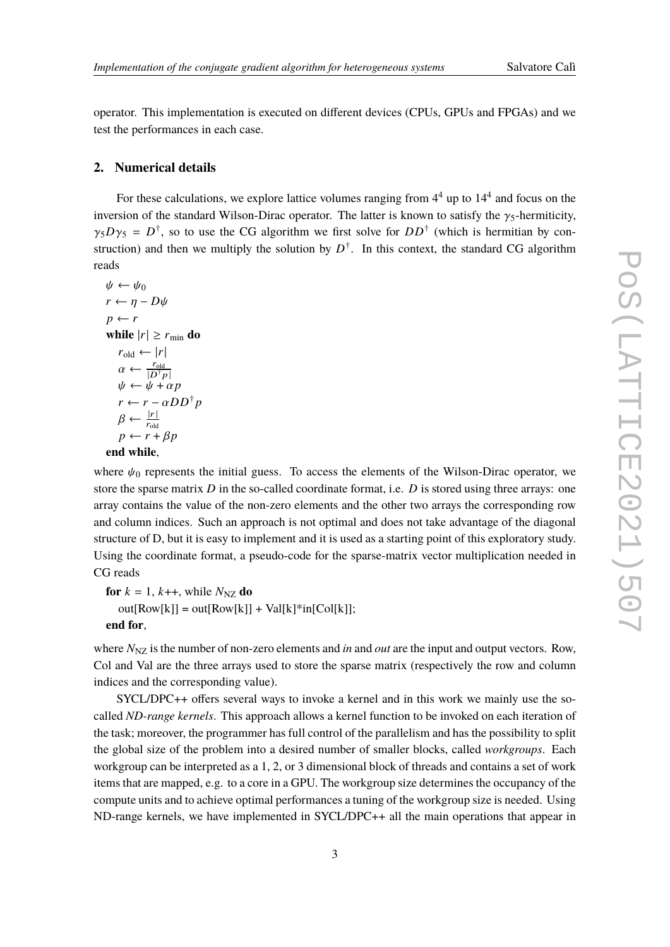operator. This implementation is executed on different devices (CPUs, GPUs and FPGAs) and we test the performances in each case.

## **2. Numerical details**

For these calculations, we explore lattice volumes ranging from  $4<sup>4</sup>$  up to  $14<sup>4</sup>$  and focus on the inversion of the standard Wilson-Dirac operator. The latter is known to satisfy the  $\gamma_5$ -hermiticity,  $\gamma_5 D \gamma_5 = D^{\dagger}$ , so to use the CG algorithm we first solve for  $D D^{\dagger}$  (which is hermitian by construction) and then we multiply the solution by  $D^{\dagger}$ . In this context, the standard CG algorithm reads

```
\psi \leftarrow \psi_0r \leftarrow \eta - D\psip \leftarrow rwhile |r| \geq r_{\text{min}} do
    r_{\text{old}} \leftarrow |r|\alpha \leftarrow \frac{r_{\text{old}}}{|D^\dagger p|}\psi \leftarrow \psi + \alpha pr \leftarrow r - \alpha D D^{\dagger} p\beta \leftarrow \frac{|r|}{r_{\text{old}}}p \leftarrow r + \beta pend while,
```
where  $\psi_0$  represents the initial guess. To access the elements of the Wilson-Dirac operator, we store the sparse matrix  $D$  in the so-called coordinate format, i.e.  $D$  is stored using three arrays: one array contains the value of the non-zero elements and the other two arrays the corresponding row and column indices. Such an approach is not optimal and does not take advantage of the diagonal structure of D, but it is easy to implement and it is used as a starting point of this exploratory study. Using the coordinate format, a pseudo-code for the sparse-matrix vector multiplication needed in CG reads

```
for k = 1, k++, while N_{\text{NZ}} do
out[Row[k]] = out[Row[k]] + Val[k]*in[Col[k]];end for,
```
where  $N_{\text{NZ}}$  is the number of non-zero elements and *in* and *out* are the input and output vectors. Row, Col and Val are the three arrays used to store the sparse matrix (respectively the row and column indices and the corresponding value).

SYCL/DPC++ offers several ways to invoke a kernel and in this work we mainly use the socalled *ND-range kernels*. This approach allows a kernel function to be invoked on each iteration of the task; moreover, the programmer has full control of the parallelism and has the possibility to split the global size of the problem into a desired number of smaller blocks, called *workgroups*. Each workgroup can be interpreted as a 1, 2, or 3 dimensional block of threads and contains a set of work items that are mapped, e.g. to a core in a GPU. The workgroup size determines the occupancy of the compute units and to achieve optimal performances a tuning of the workgroup size is needed. Using ND-range kernels, we have implemented in SYCL/DPC++ all the main operations that appear in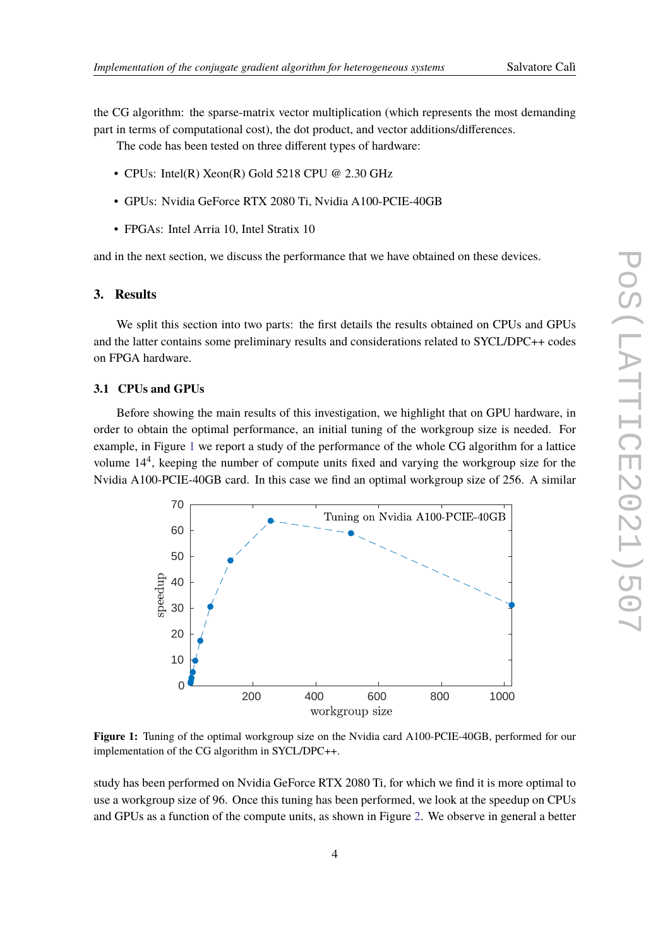the CG algorithm: the sparse-matrix vector multiplication (which represents the most demanding part in terms of computational cost), the dot product, and vector additions/differences.

The code has been tested on three different types of hardware:

- CPUs: Intel(R) Xeon(R) Gold 5218 CPU @ 2.30 GHz
- GPUs: Nvidia GeForce RTX 2080 Ti, Nvidia A100-PCIE-40GB
- FPGAs: Intel Arria 10, Intel Stratix 10

and in the next section, we discuss the performance that we have obtained on these devices.

### **3. Results**

We split this section into two parts: the first details the results obtained on CPUs and GPUs and the latter contains some preliminary results and considerations related to SYCL/DPC++ codes on FPGA hardware.

# **3.1 CPUs and GPUs**

Before showing the main results of this investigation, we highlight that on GPU hardware, in order to obtain the optimal performance, an initial tuning of the workgroup size is needed. For example, in Figure [1](#page-3-0) we report a study of the performance of the whole CG algorithm for a lattice volume 14<sup>4</sup> , keeping the number of compute units fixed and varying the workgroup size for the Nvidia A100-PCIE-40GB card. In this case we find an optimal workgroup size of 256. A similar

<span id="page-3-0"></span>

**Figure 1:** Tuning of the optimal workgroup size on the Nvidia card A100-PCIE-40GB, performed for our implementation of the CG algorithm in SYCL/DPC++.

study has been performed on Nvidia GeForce RTX 2080 Ti, for which we find it is more optimal to use a workgroup size of 96. Once this tuning has been performed, we look at the speedup on CPUs and GPUs as a function of the compute units, as shown in Figure [2.](#page-4-0) We observe in general a better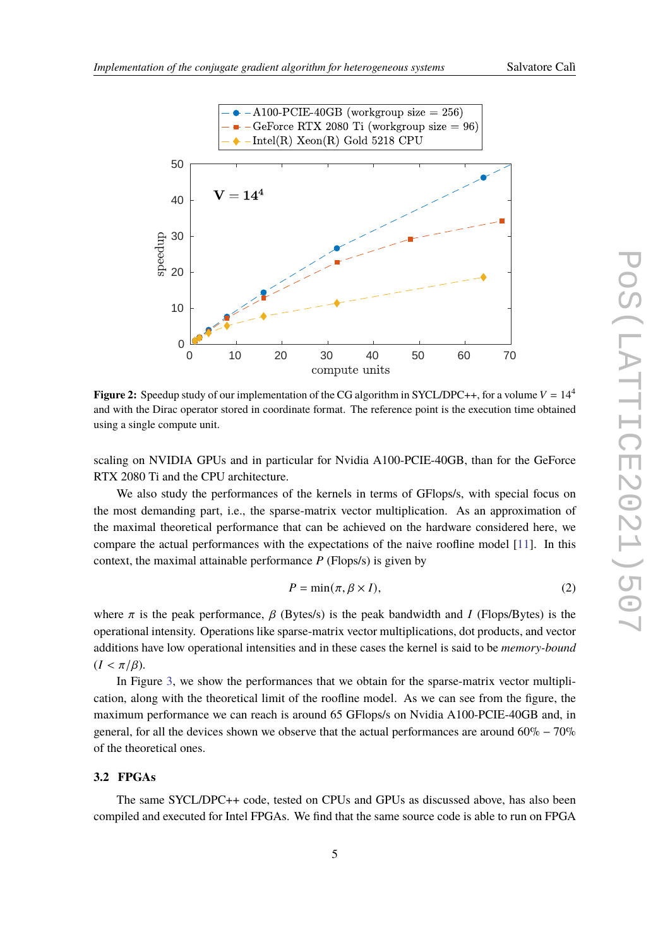

<span id="page-4-0"></span>

**Figure 2:** Speedup study of our implementation of the CG algorithm in SYCL/DPC++, for a volume  $V = 14^4$ and with the Dirac operator stored in coordinate format. The reference point is the execution time obtained using a single compute unit.

scaling on NVIDIA GPUs and in particular for Nvidia A100-PCIE-40GB, than for the GeForce RTX 2080 Ti and the CPU architecture.

We also study the performances of the kernels in terms of GFlops/s, with special focus on the most demanding part, i.e., the sparse-matrix vector multiplication. As an approximation of the maximal theoretical performance that can be achieved on the hardware considered here, we compare the actual performances with the expectations of the naive roofline model [\[11\]](#page-7-0). In this context, the maximal attainable performance  $P$  (Flops/s) is given by

$$
P = \min(\pi, \beta \times I),\tag{2}
$$

where  $\pi$  is the peak performance,  $\beta$  (Bytes/s) is the peak bandwidth and I (Flops/Bytes) is the operational intensity. Operations like sparse-matrix vector multiplications, dot products, and vector additions have low operational intensities and in these cases the kernel is said to be *memory-bound*  $(I < \pi/\beta)$ .

In Figure [3,](#page-5-0) we show the performances that we obtain for the sparse-matrix vector multiplication, along with the theoretical limit of the roofline model. As we can see from the figure, the maximum performance we can reach is around 65 GFlops/s on Nvidia A100-PCIE-40GB and, in general, for all the devices shown we observe that the actual performances are around 60% − 70% of the theoretical ones.

#### **3.2 FPGAs**

The same SYCL/DPC++ code, tested on CPUs and GPUs as discussed above, has also been compiled and executed for Intel FPGAs. We find that the same source code is able to run on FPGA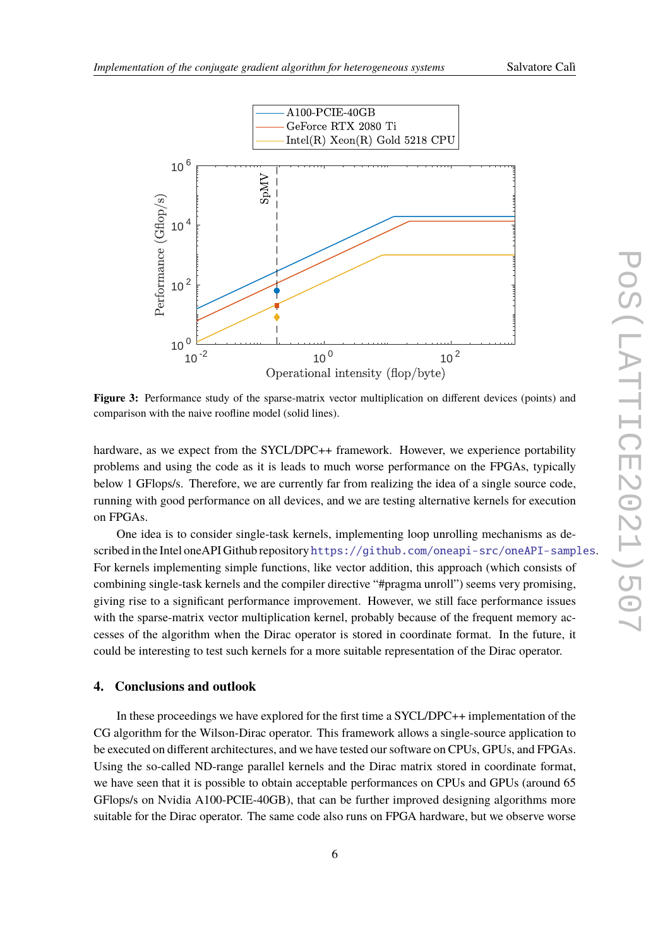<span id="page-5-0"></span>

**Figure 3:** Performance study of the sparse-matrix vector multiplication on different devices (points) and comparison with the naive roofline model (solid lines).

hardware, as we expect from the SYCL/DPC++ framework. However, we experience portability problems and using the code as it is leads to much worse performance on the FPGAs, typically below 1 GFlops/s. Therefore, we are currently far from realizing the idea of a single source code, running with good performance on all devices, and we are testing alternative kernels for execution on FPGAs.

One idea is to consider single-task kernels, implementing loop unrolling mechanisms as described in the Intel oneAPI Github repository <https://github.com/oneapi-src/oneAPI-samples>. For kernels implementing simple functions, like vector addition, this approach (which consists of combining single-task kernels and the compiler directive "#pragma unroll") seems very promising, giving rise to a significant performance improvement. However, we still face performance issues with the sparse-matrix vector multiplication kernel, probably because of the frequent memory accesses of the algorithm when the Dirac operator is stored in coordinate format. In the future, it could be interesting to test such kernels for a more suitable representation of the Dirac operator.

#### **4. Conclusions and outlook**

In these proceedings we have explored for the first time a SYCL/DPC++ implementation of the CG algorithm for the Wilson-Dirac operator. This framework allows a single-source application to be executed on different architectures, and we have tested our software on CPUs, GPUs, and FPGAs. Using the so-called ND-range parallel kernels and the Dirac matrix stored in coordinate format, we have seen that it is possible to obtain acceptable performances on CPUs and GPUs (around 65 GFlops/s on Nvidia A100-PCIE-40GB), that can be further improved designing algorithms more suitable for the Dirac operator. The same code also runs on FPGA hardware, but we observe worse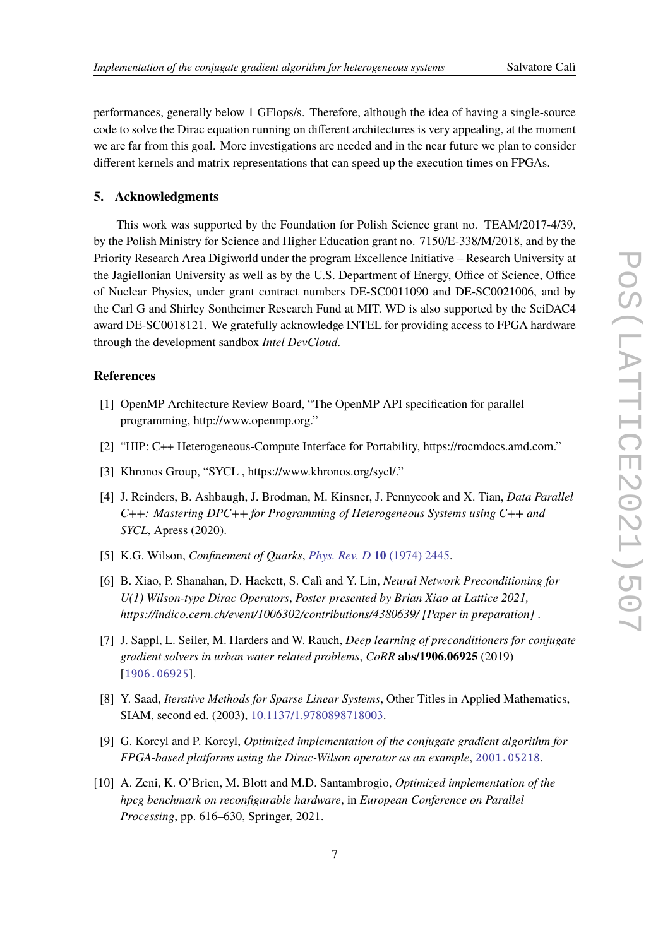performances, generally below 1 GFlops/s. Therefore, although the idea of having a single-source code to solve the Dirac equation running on different architectures is very appealing, at the moment we are far from this goal. More investigations are needed and in the near future we plan to consider different kernels and matrix representations that can speed up the execution times on FPGAs.

#### **5. Acknowledgments**

This work was supported by the Foundation for Polish Science grant no. TEAM/2017-4/39, by the Polish Ministry for Science and Higher Education grant no. 7150/E-338/M/2018, and by the Priority Research Area Digiworld under the program Excellence Initiative – Research University at the Jagiellonian University as well as by the U.S. Department of Energy, Office of Science, Office of Nuclear Physics, under grant contract numbers DE-SC0011090 and DE-SC0021006, and by the Carl G and Shirley Sontheimer Research Fund at MIT. WD is also supported by the SciDAC4 award DE-SC0018121. We gratefully acknowledge INTEL for providing access to FPGA hardware through the development sandbox *Intel DevCloud*.

# **References**

- <span id="page-6-7"></span>[1] OpenMP Architecture Review Board, "The OpenMP API specification for parallel programming, http://www.openmp.org."
- <span id="page-6-8"></span>[2] "HIP: C++ Heterogeneous-Compute Interface for Portability, https://rocmdocs.amd.com."
- <span id="page-6-9"></span>[3] Khronos Group, "SYCL , https://www.khronos.org/sycl/."
- <span id="page-6-0"></span>[4] J. Reinders, B. Ashbaugh, J. Brodman, M. Kinsner, J. Pennycook and X. Tian, *Data Parallel C++: Mastering DPC++ for Programming of Heterogeneous Systems using C++ and SYCL*, Apress (2020).
- <span id="page-6-1"></span>[5] K.G. Wilson, *Confinement of Quarks*, *[Phys. Rev. D](https://doi.org/10.1103/PhysRevD.10.2445)* **10** (1974) 2445.
- <span id="page-6-2"></span>[6] B. Xiao, P. Shanahan, D. Hackett, S. Calì and Y. Lin, *Neural Network Preconditioning for U(1) Wilson-type Dirac Operators*, *Poster presented by Brian Xiao at Lattice 2021, https://indico.cern.ch/event/1006302/contributions/4380639/ [Paper in preparation]* .
- <span id="page-6-3"></span>[7] J. Sappl, L. Seiler, M. Harders and W. Rauch, *Deep learning of preconditioners for conjugate gradient solvers in urban water related problems*, *CoRR* **abs/1906.06925** (2019) [[1906.06925](https://arxiv.org/abs/1906.06925)].
- <span id="page-6-4"></span>[8] Y. Saad, *Iterative Methods for Sparse Linear Systems*, Other Titles in Applied Mathematics, SIAM, second ed. (2003), [10.1137/1.9780898718003.](https://doi.org/10.1137/1.9780898718003)
- <span id="page-6-5"></span>[9] G. Korcyl and P. Korcyl, *Optimized implementation of the conjugate gradient algorithm for FPGA-based platforms using the Dirac-Wilson operator as an example*, [2001.05218](https://arxiv.org/abs/2001.05218).
- <span id="page-6-6"></span>[10] A. Zeni, K. O'Brien, M. Blott and M.D. Santambrogio, *Optimized implementation of the hpcg benchmark on reconfigurable hardware*, in *European Conference on Parallel Processing*, pp. 616–630, Springer, 2021.